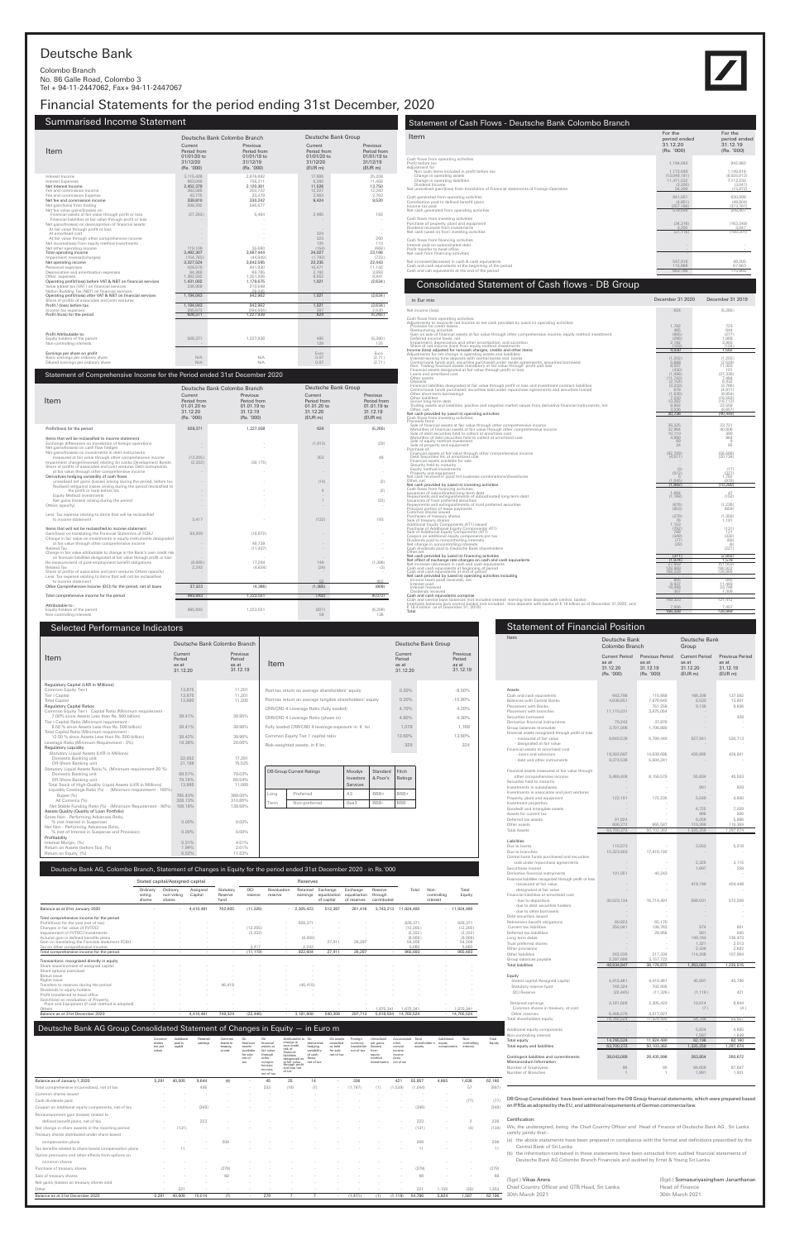## Statement of Financial Position Deutsche Bank

| 68 | (Sgd.) Vikas Arora                            | (Sgd.) Somasuriyasingham Janarthanan |
|----|-----------------------------------------------|--------------------------------------|
| にい | Chief Country Officer and GTB Head, Sri Lanka | Head of Finance                      |
|    | $\overline{96}$ 30th March 2021               | 30th March 2021                      |

## Head of Finance 30th March 2021

## Consolidated Statement of Cash flows - DB Group

| in Eur mio                                                                                                                                                                                                                                                                                                                                                                                                                                                                                                                                                                                                                                                                                                                                                                                                                                                            | December 31 2020                                                                                                                            | December 31 2019                                                                                                                                    |
|-----------------------------------------------------------------------------------------------------------------------------------------------------------------------------------------------------------------------------------------------------------------------------------------------------------------------------------------------------------------------------------------------------------------------------------------------------------------------------------------------------------------------------------------------------------------------------------------------------------------------------------------------------------------------------------------------------------------------------------------------------------------------------------------------------------------------------------------------------------------------|---------------------------------------------------------------------------------------------------------------------------------------------|-----------------------------------------------------------------------------------------------------------------------------------------------------|
| Net income (loss)                                                                                                                                                                                                                                                                                                                                                                                                                                                                                                                                                                                                                                                                                                                                                                                                                                                     | 624                                                                                                                                         | (5, 265)                                                                                                                                            |
| Cash flows from operating activities:<br>Adjustments to reconcile net income to net cash provided by (used in) operating activities:<br>Provision for credit losses<br>Restructuring activities<br>Gain on sale of financial assets at fair value through other comprehensive income, equity method investment<br>Deferred income taxes, net<br>Impairment, depreciation and other amortization, and accretion<br>Share of net income (loss) from equity method investments<br>Income (loss) adjusted for noncash charges, credits and other items                                                                                                                                                                                                                                                                                                                    | 1.792<br>485<br>(665)<br>(296)<br>2.192<br>(103)<br>4,030                                                                                   | 723<br>644<br>(277)<br>1.868<br>3.993<br>(104)<br>1,582                                                                                             |
| Adjustments for net change in operating assets and liabilities:<br>Interest-earning time deposits with central banks and banks<br>Central bank funds sold, securities purchased under resale agreements, securities borrowed<br>Non-Trading financial assets mandatory at fair value through profit and loss<br>Financial assets designated at fair value through profit or loss<br>Loans and amortized cost<br>Other assets<br>Deposits<br>Financial liabilities designated at fair value through profit or loss and investment contract liabilities<br>Central bank funds purchased, securities sold under repurchase agreements and securities loaned<br>Other short-term borrowings<br>Other liabilities<br>Senior long-term debt<br>Trading assets and liabilities, positive and negative market values from derivative financial instruments, net<br>Other, net | (1, 202)<br>5.688<br>8,597<br>(430)<br>(1,098)<br>(11.743)<br>(2, 154)<br>(3, 233)<br>678<br>$(1,638)$<br>7,030<br>13,282<br>9,892<br>3.036 | (1, 203)<br>(2.529)<br>11.403<br>101<br>(27, 335)<br>7.464<br>6.432<br>(3,766)<br>(4, 871)<br>(8.954)<br>(16, 563)<br>(16.112)<br>22,559<br>(8.657) |
| Net cash provided by (used in) operating activities<br>Cash flows from investing activities:                                                                                                                                                                                                                                                                                                                                                                                                                                                                                                                                                                                                                                                                                                                                                                          | 30,736                                                                                                                                      | (40.449)                                                                                                                                            |
| Proceeds from:<br>Sale of financial assets at fair value through other comprehensive income<br>Maturities of financial assets at fair value through other comprehensive income<br>Sale of debt securities held to collect at amortizes cost<br>Maturities of debt securities held to collect at amortized cost<br>Sale of equity method investment<br>Sale of property and equipment                                                                                                                                                                                                                                                                                                                                                                                                                                                                                  | 38.325<br>32,964<br>10.110<br>4,890<br>69<br>24                                                                                             | 23.721<br>40,806<br>390<br>964<br>9<br>92                                                                                                           |
| Purchase of:<br>Financial assets at fair value through other comprehensive income<br>Debt Securities htc at amortized cost<br>Financial assets available for sale                                                                                                                                                                                                                                                                                                                                                                                                                                                                                                                                                                                                                                                                                                     | (82, 709)<br>(4,011)                                                                                                                        | (56, 568)<br>(20, 134)                                                                                                                              |
| Security held to maturity<br>Equity method investments<br>Property and equipment<br>Net cash received in (paid for) business combinations/divestitures<br>Other, net<br>Net cash provided by (used in) investing activities                                                                                                                                                                                                                                                                                                                                                                                                                                                                                                                                                                                                                                           | (3)<br>(512)<br>5<br>(1.045)<br>(1,892)                                                                                                     | (17)<br>(327)<br>1.762<br>(978)<br>(10, 280)                                                                                                        |
| Cash flows from financing activities:                                                                                                                                                                                                                                                                                                                                                                                                                                                                                                                                                                                                                                                                                                                                                                                                                                 |                                                                                                                                             |                                                                                                                                                     |
| Issuances of subordinated long-term debt<br>Repayments and extinguishments of subordinated long-term debt<br>Issuances of trust preferred securities<br>Repayments and extinguishments of trust preferred securities                                                                                                                                                                                                                                                                                                                                                                                                                                                                                                                                                                                                                                                  | 1,684<br>(1, 168)<br>(676)                                                                                                                  | 47<br>(152)<br>(1, 235)                                                                                                                             |
| Principal portion of lease payments<br>Common shares issued<br>Purchases of treasury shares                                                                                                                                                                                                                                                                                                                                                                                                                                                                                                                                                                                                                                                                                                                                                                           | (653)<br>(279)                                                                                                                              | (659)<br>(1, 359)                                                                                                                                   |
| Sale of treasury shares<br>Additional Equity Components (AT1) issued<br>Purchase of Additional Equity Components (AT1)<br>Sale of Additional Equity Components (AT1)<br>Coupon on additional equity components, pre tax<br>Dividends paid to noncontrolling interests<br>Net change in noncontrolling interests<br>Cash dividends paid to Deutsche Bank shareholders<br>Other.net                                                                                                                                                                                                                                                                                                                                                                                                                                                                                     | 76<br>1,153<br>(792)<br>798<br>(349)<br>(77)<br>(28)                                                                                        | 1,191<br>(131)<br>121<br>(330)<br>(59)<br>(9)<br>(227)                                                                                              |
| Net cash provided by (used in) financing activities                                                                                                                                                                                                                                                                                                                                                                                                                                                                                                                                                                                                                                                                                                                                                                                                                   | (311)                                                                                                                                       | (2,802)                                                                                                                                             |
| Net effect of exchange rate changes on cash and cash equivalents<br>Net increase (decrease) in cash and cash equivalents<br>Cash and cash equivalents at beginning of period<br>Cash and cash equivalents at end of period                                                                                                                                                                                                                                                                                                                                                                                                                                                                                                                                                                                                                                            | (1,074)<br>27,459<br>128,869<br>156,328                                                                                                     | 1,578<br>(51, 953)<br>180,822<br>128,869                                                                                                            |
| Net cash provided by (used in) operating activities including<br>Income taxes paid(received), net                                                                                                                                                                                                                                                                                                                                                                                                                                                                                                                                                                                                                                                                                                                                                                     | 805                                                                                                                                         | 945                                                                                                                                                 |
| Interest paid<br>Interest received<br>Dividends received                                                                                                                                                                                                                                                                                                                                                                                                                                                                                                                                                                                                                                                                                                                                                                                                              | 6,937<br>18,498<br>307                                                                                                                      | 11,493<br>23,748<br>1.309                                                                                                                           |
| Cash and cash equivalents comprise<br>Cash and central bank balances (not included interest -earning time deposits with central, banks)                                                                                                                                                                                                                                                                                                                                                                                                                                                                                                                                                                                                                                                                                                                               | 149,323                                                                                                                                     | 121,412                                                                                                                                             |
| Interbank balances (w/o central banks) (not included : time deposits with banks of €19 billion as of December 31,2020, and<br>€ 18.4 billion as of December 31, 2019)                                                                                                                                                                                                                                                                                                                                                                                                                                                                                                                                                                                                                                                                                                 | 7.006                                                                                                                                       | 7.457                                                                                                                                               |

Total 156,328 128,869

# Statement of Cash Flows - Deutsche Bank Colombo Branch

## Deutsche Bank

Colombo Branch No. 86 Galle Road, Colombo 3 Tel + 94-11-2447062, Fax+ 94-11-2447067

## Financial Statements for the period ending 31st December, 2020

## Summarised Income Statement

|                                                                                                                                                                                                                                     |                                                                              | Deutsche Bank Colombo Branch                                                 |                                                              | Deutsche Bank Group                                             |
|-------------------------------------------------------------------------------------------------------------------------------------------------------------------------------------------------------------------------------------|------------------------------------------------------------------------------|------------------------------------------------------------------------------|--------------------------------------------------------------|-----------------------------------------------------------------|
| Item                                                                                                                                                                                                                                | Current<br>Period from<br>01/01/20 to<br>31/12/20<br>(Rs. '000)              | Previous<br>Period from<br>01/01/19 to<br>31/12/19<br>(Rs. '000)             | Current<br>Period from<br>01/01/20 to<br>31/12/20<br>(EUR m) | Previous<br>Period from<br>$01/01/19$ to<br>31/12/19<br>(EUR m) |
| Interest Income<br><b>Interest Expenses</b><br>Net Interest Income<br>Fee and commission income<br>Fee and commission Expense<br>Net fee and commission income<br>Net gain/(loss) from trading<br>Net fair value gains/(losses) on: | 3.115.428<br>663.049<br>2,452,379<br>383,585<br>43.775<br>339.810<br>598.292 | 2.876.692<br>756.311<br>2,120,381<br>353,722<br>23.479<br>330.242<br>595.677 | 17,806<br>6.280<br>11,526<br>12,227<br>2.803<br>9,424        | 25.208<br>11.458<br>13,750<br>12,283<br>2.763<br>9.520          |
| Financial assets at fair value through profit or loss<br>Financial liabilities at fair value through profit or loss<br>Net gains/(losses) on derecognition of financial assets:<br>At fair value through profit or loss             | (27, 283)                                                                    | 5.464                                                                        | 2.465                                                        | 193                                                             |
| At amortised cost<br>At fair value through other comprehensive income<br>Net income(loss) from equity method investments<br>Net other operating income<br>Total operating income                                                    | 119,109<br>3.482.307                                                         | 35,680<br>3.087.444                                                          | 324<br>323<br>120<br>(154)<br>24.027                         | 260<br>110<br>(668)<br>23.166                                   |
| Impairment reversal/(charges)<br>Net operating income<br>Personnel expenses<br>Depreciation and amortisation expenses<br>Other expenses                                                                                             | (154, 783)<br>3,327,524<br>429.570<br>84.360<br>1,382,592                    | (44, 849)<br>3,042,595<br>441.930<br>69.785<br>1,351,206                     | (1,792)<br>22,235<br>10,471<br>2.192<br>8,552                | (723)<br>22,443<br>11,142<br>3.993<br>9,941                     |
| Operating profit/(loss) before VAT & NBT on financial services<br>Value added tax (VAT) on financial services<br>Nation Building Tax (NBT) on financial services<br>Operating profit/(loss) after VAT & NBT on financial services   | 1,431,002<br>236,959<br>1,194,043                                            | 1,179,675<br>210,648<br>26.045<br>942.982                                    | 1,021<br>1.021                                               | (2,634)<br>(2,634)                                              |
| Share of profits of associates and joint ventures<br>Profit / (loss) before tax<br>Income tax expenses<br>Profit /(loss) for the period                                                                                             | 1,194,043<br>265,673<br>928,371                                              | 942.982<br>(284, 956)<br>1,227,938                                           | 1,021<br>397<br>624                                          | (2,634)<br>2,630<br>(5, 265)                                    |
|                                                                                                                                                                                                                                     |                                                                              |                                                                              |                                                              |                                                                 |
| Profit Attributable to:<br>Equity holders of the parent<br>Non-controlling interests                                                                                                                                                | 928,371                                                                      | 1,227,938                                                                    | 495<br>129                                                   | (5, 390)<br>125                                                 |
| Earnings per share on profit<br>Basic earnings per ordinary share<br>Diluted earnings per ordinary share                                                                                                                            | N/A<br>N/A                                                                   | N/A<br>N/A                                                                   | Euro<br>0.07<br>0.07                                         | Euro<br>(2.71)<br>(2.71)                                        |

**Item** Previous Current Current Previous Previous Current Previous Previous Previous Previous Previous Previous<br>Period Period Previous Previous Period Previous Previous Previous Previous Previous Previous Previous Previous Period as at 31.12.19 Selected Performance Indicators Current Period as at 31.12.20 Previous Period as at 31.12.19 Deutsche Bank Group Item Current Period as at 31.12.20 Deutsche Bank Colombo Branch Regulatory Capital (LKR in Millions) Regulatory Capital Ratios Common Equity Tier I 13,875 11,201 13,875 11,201 13,875 11,201 13,875 11,201 13,875 11,201 13,875 11,201 11,20<br>Tier I Capital 13,880 11,205 13,880 11,205 11,205 11,205 11,205 11,205 11,205 11,205 11,205 11,205 11,205 11,20 Post-tax return on average shareholders' equity 0.20% -9.50% Post-tax return on average tangible shareholders' equity  $0.20\%$  -10.90% CRR/CRD 4 Leverage Ratio (fully loaded) 4.70% 4.20%

### Statement of Comprehensive Income for the Period ended 31st December 2020

| Item                                                                                                                                                                                                                                                                                                        | For the<br>period ended<br>31.12.20<br>(Rs. '000)                                | For the<br>period ended<br>31.12.19<br>(Rs. '000)                        |
|-------------------------------------------------------------------------------------------------------------------------------------------------------------------------------------------------------------------------------------------------------------------------------------------------------------|----------------------------------------------------------------------------------|--------------------------------------------------------------------------|
| Cash flows from operating activities<br>Profit before tax<br>Adjustment for<br>Non cash items included in profit before tax<br>Change in operating assets<br>Change in operating liabilities<br>Dividend Income<br>Net unrealised gain/(loss) from translation of Financial statements of Foreign Operation | 1,194,043<br>1.173.648<br>(13,049,181)<br>11.471.532<br>(3.200)<br>54.209        | 942.982<br>1.149.816<br>(8,555,012)<br>7,112,230<br>(3.047)<br>(15, 972) |
| Cash generated from operating activities<br>Contribution paid to defined benefit plans<br>Income tax paid<br>Net cash generated from operating activities                                                                                                                                                   | 841.051<br>(4,851)<br>(257.166)<br>579.034                                       | 630,998<br>(48, 804)<br>(373.787)<br>208.407                             |
| Cash flows from investing activities<br>Purchase of property, plant and equipment<br>Dividend received from investments<br>Net cash (used in) from investing activities                                                                                                                                     | (34, 316)<br>3.200<br>(31, 116)                                                  | (163.248)<br>3.047<br>(160, 201)                                         |
| Cash flows from financing activities<br>Interest paid on subordinated debt<br>Profit transfer to head office<br>Net cash from financing activities                                                                                                                                                          | $\overline{\phantom{a}}$<br>$\overline{\phantom{a}}$<br>$\overline{\phantom{a}}$ |                                                                          |
| Net increase/(decrease) in cash & cash equivalents<br>Cash and cash equivalents at the beginning of the period<br>Cash and cah equivalents at the end of the period                                                                                                                                         | 547.918<br>115,868<br>663,786                                                    | 48.205<br>67.663<br>115,868                                              |

|                                                                                                                                                                                                                     |                                                                 | Deutsche Bank Colombo Branch                                     |                                                              | Deutsche Bank Group                                          |
|---------------------------------------------------------------------------------------------------------------------------------------------------------------------------------------------------------------------|-----------------------------------------------------------------|------------------------------------------------------------------|--------------------------------------------------------------|--------------------------------------------------------------|
| Item                                                                                                                                                                                                                | Current<br>Period from<br>01.01.20 to<br>31.12.20<br>(Rs. '000) | Previous<br>Period from<br>01.01.19 to<br>31.12.19<br>(Rs. '000) | Current<br>Period from<br>01.01.20 to<br>31.12.20<br>(EUR m) | Previous<br>Period from<br>01.01.19 to<br>31.12.19<br>(EURm) |
| Profit/(loss) for the period                                                                                                                                                                                        | 928,371                                                         | 1,227,938                                                        | 624                                                          | (5, 265)                                                     |
| Items that will be reclassified to income statement<br>Exchange differences on translation of foreign operations<br>Net gains/(losses) on cash flow hedges<br>Net gains/(losses) on investments in debt instruments |                                                                 |                                                                  | (1, 813)                                                     | (29)                                                         |
| measured at fair value through other comprehensive income<br>Impairment charge/(reversal) relating Sri Lanka Development Bonds<br>Share of profits of associates and joint ventures Debt instruments                | (12, 205)<br>(2, 332)                                           | (30, 175)                                                        | 353                                                          | 49                                                           |
| at fair value through other comprehensive income<br>Derivatives hedging variability of cash flows                                                                                                                   |                                                                 |                                                                  |                                                              |                                                              |
| unrealised net gains (losses) arising during the period, before tax<br>Realised net(gains) losses arising during the period (reclasified to                                                                         |                                                                 |                                                                  | (14)                                                         | (2)                                                          |
| the profit or loss) before tax<br><b>Equity Method investments</b>                                                                                                                                                  |                                                                 |                                                                  | $\overline{4}$                                               | (2)                                                          |
| Net gains (losses) arising during the period<br>Others (specify)                                                                                                                                                    |                                                                 |                                                                  | 1                                                            | (22)                                                         |
| Less: Tax expense relating to items that will be reclassified<br>to income statement                                                                                                                                | 3.417                                                           |                                                                  | (122)                                                        | 193                                                          |
| Items that will not be reclassified to income statement<br>Gain/(loss) on translating the Financial Statemtns of FCBU<br>Change in fair value on investments in equity instruments designated                       | 54,209                                                          | (15,972)                                                         |                                                              |                                                              |
| at fair value through other comprehensive income<br><b>Related Tax</b>                                                                                                                                              |                                                                 | 40,739<br>(11, 407)                                              |                                                              |                                                              |
| Change in fair value attributable to change in the Bank's own credit risk<br>on financial liabilities designated at fair value through profit or loss<br>Re-measurement of post-employment benefit obligations      | (8,009)                                                         | 17,264                                                           | 149                                                          | (1, 396)                                                     |
| <b>Related Tax</b><br>Share of profits of associates and joint ventures Others (specify)<br>Less: Tax expense relating to items that will not be reclassified                                                       | 2.243                                                           | (4,834)                                                          | (24)                                                         | (3)                                                          |
| to income statement<br>Other Comprehensive Income (OCI) for the period, net of taxes                                                                                                                                | 37,323                                                          | (4,386)                                                          | 82<br>(1, 385)                                               | 403<br>(809)                                                 |
| Total comprehensive income for the period                                                                                                                                                                           | 965,693                                                         | 1,223,551                                                        | (762)                                                        | (6,072)                                                      |
| Attributable to:                                                                                                                                                                                                    |                                                                 |                                                                  |                                                              |                                                              |
| Equity holders of the parent<br>Non-controlling interests                                                                                                                                                           | 965,693                                                         | 1,223,551                                                        | (821)<br>59                                                  | (6, 209)<br>136                                              |

| Item                                                                                | Deutsche Bank<br>Colombo Branch                          |                                                    | Deutsche Bank<br>Group                                |                                                 |  |  |
|-------------------------------------------------------------------------------------|----------------------------------------------------------|----------------------------------------------------|-------------------------------------------------------|-------------------------------------------------|--|--|
|                                                                                     | <b>Current Period</b><br>as at<br>31.12.20<br>(Rs. '000) | Previous Period<br>as at<br>31.12.19<br>(Rs. '000) | <b>Current Period</b><br>as at<br>31.12.20<br>(EUR m) | Previous Period<br>as at<br>31.12.19<br>(EUR m) |  |  |
| Assets                                                                              |                                                          |                                                    |                                                       |                                                 |  |  |
| Cash and cash equivalents                                                           | 663,786                                                  | 115,868                                            | 166,208                                               | 137,592                                         |  |  |
| <b>Balances with Central Banks</b>                                                  | 4,636,851                                                | 7,676,645                                          | 8,533                                                 | 13,801                                          |  |  |
| Placement with Banks<br>Placement with branches                                     | 11,115,031                                               | 751,258<br>3,875,054                               | 9,130                                                 | 9,636                                           |  |  |
| Securities borrowed                                                                 |                                                          |                                                    |                                                       | 428                                             |  |  |
| Derivative financial instruments                                                    | 79,242                                                   | 37,878                                             |                                                       |                                                 |  |  |
| Group balances receivable<br>Financial assets recognized through profit or loss     | 3,701,006                                                | 1,706,880                                          |                                                       |                                                 |  |  |
| - measured at fair value                                                            | 8,640,539                                                | 6.799.440                                          | 527,941                                               | 530,713                                         |  |  |
| - designated at fair value                                                          |                                                          |                                                    |                                                       |                                                 |  |  |
| Financial assets at amortised cost                                                  |                                                          |                                                    |                                                       |                                                 |  |  |
| - loans and advances<br>- debt and other instruments                                | 19,302,687<br>9,274,536                                  | 14,639,695<br>5,504,241                            | 426,995                                               | 429,841                                         |  |  |
|                                                                                     |                                                          |                                                    |                                                       |                                                 |  |  |
| Financial assets measured at fair value through                                     |                                                          |                                                    |                                                       |                                                 |  |  |
| other comprehensive income<br>Securites held to maturity                            | 5,466,408                                                | 8,158,579                                          | 55,834                                                | 45,503                                          |  |  |
| Investments in subsidiaries                                                         |                                                          |                                                    | 901                                                   | 929                                             |  |  |
| Investments in associates and joint ventures                                        |                                                          |                                                    |                                                       |                                                 |  |  |
| Property, plant and equipment                                                       | 122,191                                                  | 172,235                                            | 5,549                                                 | 4,930                                           |  |  |
| Investment properties<br>Goodwill and intangible assets                             |                                                          |                                                    | 6.725                                                 | 7.029                                           |  |  |
| Assets for current tax                                                              |                                                          |                                                    | 986                                                   | 926                                             |  |  |
| Deferred tax assets                                                                 | 91,824                                                   |                                                    | 6,058                                                 | 5,986                                           |  |  |
| Other assets                                                                        | 606,272                                                  | 665,587                                            | 110,399                                               | 110,359                                         |  |  |
| <b>Total Assets</b>                                                                 | 63,700,372                                               | 50,103,362                                         | 1,325,259                                             | 1,297,674                                       |  |  |
| Liabilities                                                                         |                                                          |                                                    |                                                       |                                                 |  |  |
| Due to banks                                                                        | 115,573                                                  |                                                    | 3,553                                                 | 5,218                                           |  |  |
| Due to branches<br>Central bank funds purchased and securities                      | 15,323,403                                               | 17,816,192                                         |                                                       |                                                 |  |  |
| sold under repurchase agreements                                                    |                                                          |                                                    | 2,325                                                 | 3,115                                           |  |  |
| Securitioes loaned                                                                  |                                                          |                                                    | 1,697                                                 | 259                                             |  |  |
| Derivative financial instruments                                                    | 101,051                                                  | 40,243                                             |                                                       |                                                 |  |  |
| Financial liabilities recognized through profit or loss<br>- measured at fair value |                                                          |                                                    | 419,199                                               | 404,448                                         |  |  |
| - designated at fair value                                                          |                                                          |                                                    |                                                       |                                                 |  |  |
| Financial liabilities at amortised cost                                             |                                                          |                                                    |                                                       |                                                 |  |  |
| - due to depositors<br>- due to debt securities holders                             | 30,523,134                                               | 16,714,491                                         | 568,031                                               | 572,208                                         |  |  |
| - due to other borrowers                                                            |                                                          |                                                    |                                                       |                                                 |  |  |
| Debt securities issued                                                              |                                                          |                                                    | i.                                                    |                                                 |  |  |
| Retirement benefit obligations                                                      | 80,922                                                   | 65,170                                             |                                                       |                                                 |  |  |
| Current tax liabilities<br>Deferred tax liabililties                                | 250,041                                                  | 138,763<br>28,956                                  | 574<br>561                                            | 651<br>545                                      |  |  |
| Long term debts                                                                     |                                                          |                                                    | 149,163                                               | 136,473                                         |  |  |
| Trust preferred shares                                                              |                                                          |                                                    | 1,321                                                 | 2,013                                           |  |  |
| Other provisions<br>Other liabilities                                               | 243,036                                                  | 217,334                                            | 2,430<br>114,208                                      | 2,622<br>107,964                                |  |  |
| Group balances payable                                                              | 2,297,686                                                | 3,157,722                                          |                                                       |                                                 |  |  |
| <b>Total liabilities</b>                                                            | 48,934,847                                               | 38,178,872                                         | 1,263,063                                             | 1,235,515                                       |  |  |
| Equity                                                                              |                                                          |                                                    |                                                       |                                                 |  |  |
| Stated capital /Assigned capital                                                    | 4,410,461                                                | 4,410,461                                          | 45,897                                                | 45,796                                          |  |  |
| Statutory reserve fund                                                              | 749,324                                                  | 702,905                                            |                                                       |                                                 |  |  |
| OCI Reserve                                                                         | (22, 445)                                                | (11,326)                                           | (1, 118)                                              | 421                                             |  |  |
| Retained earnings                                                                   | 3,181,608                                                | 2,305,423                                          | 10,014                                                | 9,644                                           |  |  |
| Common shares in treasury, at cost                                                  |                                                          |                                                    | (7)                                                   | (4)                                             |  |  |
| Other reserves<br>Total shareholders equity                                         | 6,446,576<br>14,765,524                                  | 4,517,027<br>11,924,490                            | 54,786                                                | 55,857                                          |  |  |
|                                                                                     |                                                          |                                                    |                                                       |                                                 |  |  |
| Additional equity components                                                        |                                                          |                                                    | 5,824                                                 | 4.665                                           |  |  |
| Non-controlling interest<br>Total equity                                            | 14,765,524                                               | 11,924,490                                         | 1,587<br>62,196                                       | 1,638<br>62,160                                 |  |  |
| Total equity and liabilities                                                        | 63,700,372                                               | 50,103,362                                         | 1,325,259                                             | 1,297,674                                       |  |  |
|                                                                                     |                                                          |                                                    |                                                       |                                                 |  |  |
| Contingent liabilities and commitments<br>Memorandum Information                    | 38,043,089                                               | 28,435,996                                         | 263,854                                               | 260,672                                         |  |  |
| Number of Employees                                                                 | 86                                                       | 90                                                 | 84,659                                                | 87,597                                          |  |  |
| Number of Branches                                                                  | $\mathbf{1}$                                             | 1                                                  | 1,891                                                 | 1,931                                           |  |  |
|                                                                                     |                                                          |                                                    |                                                       |                                                 |  |  |



- <sub>08</sub> (a) the above statements have been prepared in compliance with the format and definitions prescribed by the Central Bank of Sri Lanka
	- (b) the information contained in these statements have been extracted from audited financial statements of Deutsche Bank AG Colombo Branch Financials and audited by Ernst & Young Sri Lanka.

| Common Equity Tier L. Capital Ratio (Minimum requirement -  |          |          |      |                                                  |                |          |            |
|-------------------------------------------------------------|----------|----------|------|--------------------------------------------------|----------------|----------|------------|
| 7.00% since Assets Less than Rs. 500 billion)               | 39.41%   | 39.95%   |      | CRR/CRD 4 Leverage Ratio (phase in)              |                |          | 4.80%      |
| Tier I Capital Ratio (Minimum requirement -                 |          |          |      |                                                  |                |          |            |
| 8.50 % since Assets Less than Rs. 500 billion)              | 39.41%   | 39.96%   |      | Fully loaded CRR/CRD 4 leverage exposure in € bn |                |          | 1,078      |
| Total Capital Ratio (Minimum requirement -                  |          |          |      |                                                  |                |          |            |
| 12.50 % since Assets Less than Rs. 500 billion)             | 39.42%   | 39.96%   |      | Common Equity Tier 1 capital ratio               |                |          | 13.60%     |
| Leverage Ratio (Minimum Requirement - 3%)                   | 19.38%   | 20.06%   |      | Risk-weighted assets, in € bn.                   |                |          | 329        |
| Regulatory Liquidity                                        |          |          |      |                                                  |                |          |            |
| Statutory Liquid Assets (LKR in Millions)                   |          |          |      |                                                  |                |          |            |
| Domestic Banking unit                                       | 22,052   | 17,291   |      |                                                  |                |          |            |
| Off-Shore Banking unit                                      | 21,198   | 15,525   |      |                                                  |                |          |            |
| Statutory Liquid Assets Ratio,% (Minimum requirement 20 %)  |          |          |      | DB Group Current Ratings                         | Moodys         | Standard | Fitch      |
| Domestic Banking unit                                       | 89.51%   | 79.03%   |      |                                                  | Investors      | & Poor's | Ratings    |
| Off-Shore Banking unit                                      | 79.74%   | 80.54%   |      |                                                  |                |          |            |
| Total Stock of High-Quality Liquid Assets (LKR in Millions) | 13,985   | 11,088   |      |                                                  | Services       |          |            |
| Liquidity Coverage Ratio (%) - (Minimum requirement - 100%) |          |          |      | Preferred                                        | A <sub>3</sub> | BBB+     | BBB+       |
| Rupee (%)                                                   | 785.43%  | 389.00%  | Long |                                                  |                |          |            |
| All Currency (%)                                            | 328.13%  | 310.85%  | Term | Non-preferred                                    | Baa3           | BBB-     | <b>BBB</b> |
| Net Stable Funding Ratio (%) - (Minimum Requirement - 90%)  | 158.18%  | 139.56%  |      |                                                  |                |          |            |
| Assets Quality (Quality of Loan Portfolio)                  |          |          |      |                                                  |                |          |            |
| Gross Non - Performing Advances Ratio,                      |          |          |      |                                                  |                |          |            |
| % (net Interest in Suspense)                                | $0.00\%$ | $0.00\%$ |      |                                                  |                |          |            |
| Net Non - Performing Advances Ratio,                        |          |          |      |                                                  |                |          |            |
| % (net of Interest in Suspense and Provision)               | $0.00\%$ | $0.00\%$ |      |                                                  |                |          |            |
| Profitability                                               |          |          |      |                                                  |                |          |            |
| Interest Margin, (%)                                        | 5.31%    | 4.51%    |      |                                                  |                |          |            |
| Return on Assets (before Tax), (%)                          | 1.94%    | 2.01%    |      |                                                  |                |          |            |
| Return on Equity, (%)                                       | 6.52%    | 11.23%   |      |                                                  |                |          |            |

### Deutsche Bank AG, Colombo Branch, Statement of Changes in Equity for the period ended 31st December 2020 - in Rs.'000

|                                                  |                              | Stated capital/Assigned capital  |                     |                              |                |                          | Reserves             |                                        |                                         |                                   |            |                                 |                 |
|--------------------------------------------------|------------------------------|----------------------------------|---------------------|------------------------------|----------------|--------------------------|----------------------|----------------------------------------|-----------------------------------------|-----------------------------------|------------|---------------------------------|-----------------|
|                                                  | Ordinary<br>voting<br>shares | Ordinary<br>non-voting<br>shares | Assigned<br>Capital | Statutory<br>Reserve<br>fund | OCI<br>reserve | Revaluation<br>reserve   | Retained<br>earnings | Exchange<br>equalisation<br>of capital | Exchange<br>equalisation<br>of reserves | Reserve<br>through<br>contributed | Total      | Non-<br>controlling<br>interest | Total<br>Equity |
| Balance as at 01st January 2020                  |                              |                                  | 4,410,461           | 702,905                      | (11, 326)      |                          | 2,305,423            | 512,397                                | 261,416                                 | 3.743.213                         | 11,924,490 |                                 | 11,924,490      |
| Total comprehensive income for the period        |                              |                                  |                     |                              |                |                          |                      |                                        |                                         |                                   |            |                                 |                 |
| Profit/(loss) for the year (net of tax)          |                              |                                  |                     |                              |                |                          | 928,371              |                                        |                                         | $\overline{\phantom{a}}$          | 928,371    | $\overline{\phantom{a}}$        | 928,371         |
| Changes in fair value of FVTOCI                  |                              |                                  |                     |                              | (12, 205)      |                          |                      |                                        |                                         | $\overline{\phantom{a}}$          | (12, 205)  | $\sim$                          | (12, 205)       |
| Impairement of FVTOCI Investments                |                              |                                  |                     |                              | (2, 332)       |                          |                      |                                        |                                         | $\overline{\phantom{a}}$          | (2, 332)   | $\sim$                          | (2, 332)        |
| Acturial gain in defined benefits plans          |                              |                                  |                     |                              |                |                          | (8,009)              |                                        |                                         | $\sim$                            | (8,009)    | $\overline{\phantom{a}}$        | (8,009)         |
| Gain on translating the Fiancials statement FCBU |                              |                                  |                     |                              |                |                          |                      | 27,911                                 | 26,297                                  | $\overline{\phantom{a}}$          | 54,209     |                                 | 54,209          |
| Tax on other comprehensive income                |                              |                                  |                     |                              | 3,417          |                          | 2.243                |                                        |                                         |                                   | 5,660      |                                 | 5.660           |
| Total comprehensive income for the period        | ٠                            | $\overline{\phantom{a}}$         | ٠                   | $\sim$                       | (11, 119)      | $\sim$                   | 922,604              | 27,911                                 | 26,297                                  | ٠                                 | 965,693    | $\overline{\phantom{a}}$        | 965,693         |
|                                                  |                              |                                  |                     |                              |                |                          |                      |                                        |                                         |                                   |            |                                 |                 |
| Transactions recognised directly in equity       |                              |                                  |                     |                              |                |                          |                      |                                        |                                         |                                   |            |                                 |                 |
| Share issue/increase of assigned capital         |                              |                                  |                     |                              |                |                          |                      |                                        |                                         |                                   |            |                                 |                 |
| Share options exercised                          |                              |                                  |                     |                              |                |                          |                      |                                        |                                         |                                   |            |                                 |                 |
| Bonus issue                                      |                              |                                  |                     |                              |                |                          |                      |                                        |                                         |                                   |            |                                 |                 |
| Rights issue                                     |                              |                                  |                     |                              |                |                          |                      |                                        |                                         |                                   |            |                                 |                 |
| Transfers to reserves during the period          |                              |                                  |                     | 46.418                       |                |                          | (46, 418)            |                                        |                                         |                                   |            |                                 |                 |
| Dividends to equity holders                      |                              |                                  |                     |                              |                |                          |                      |                                        |                                         |                                   |            |                                 |                 |
| Profit transferred to head office                |                              |                                  |                     |                              |                |                          |                      |                                        |                                         |                                   |            |                                 |                 |
| Gain/(loss) on revaluation of Property,          |                              |                                  |                     |                              |                |                          |                      |                                        |                                         |                                   |            |                                 |                 |
| Plant and Equipment (if cost method is adopted)  |                              |                                  |                     |                              |                |                          |                      |                                        |                                         |                                   |            |                                 |                 |
| Others                                           |                              |                                  |                     |                              |                |                          |                      |                                        |                                         | 1.875.341                         | 1.875.341  | $\sim$                          | .875.341        |
| Balance as at 31st December 2020                 |                              | $\overline{\phantom{a}}$         | 4,410,461           | 749,324                      | (22, 446)      | $\overline{\phantom{a}}$ | 3,181,608            | 540,308                                | 287,713                                 | 5,618,554                         | 14,765,524 |                                 | 14,765,524      |

## Deutsche Bank AG Group Consolidated Statement of Changes in Equity — in Euro m

|                                                        | Commor<br>shares<br>(no par<br>value) | Additional<br>paid in<br>capital | Retained<br>eamings | Common<br>shares in<br>treasury,<br>at cost | On<br>financial<br>assets<br>available<br>for sale<br>net of<br>tax | On<br>financial<br>assets at<br>fair value<br>through<br>other<br>compre-<br>hensive<br>income.<br>net of tax | Attributable to On<br>change in<br>own credit<br>risk of<br>financial<br>liabilities<br>designated as<br>at fair value<br>through profit<br>and loss net<br>of tax | derivatives<br>hedging<br>variability<br>of cash<br>flows.<br>net of tax | On assets<br>classified<br>as held<br>for sale<br>net of tax | Foreign<br>currency<br>translation<br>net of tax | Unrealized<br>net gains<br>(losses)<br>from<br>equity<br>method<br>investments | Accumulated<br>other<br>compre-<br>hensive<br>income<br>(loss)<br>net of tax | Total<br>shareholder's<br>equity | Additional<br>equity<br>components | Non-<br>controlling<br>interest | Total<br>Equity |
|--------------------------------------------------------|---------------------------------------|----------------------------------|---------------------|---------------------------------------------|---------------------------------------------------------------------|---------------------------------------------------------------------------------------------------------------|--------------------------------------------------------------------------------------------------------------------------------------------------------------------|--------------------------------------------------------------------------|--------------------------------------------------------------|--------------------------------------------------|--------------------------------------------------------------------------------|------------------------------------------------------------------------------|----------------------------------|------------------------------------|---------------------------------|-----------------|
| Balance as of January 1,2020                           | 5,291                                 | 40,505                           | 9.644               | (4)                                         |                                                                     | 45                                                                                                            | 25                                                                                                                                                                 | 14                                                                       |                                                              | 336                                              |                                                                                | 421                                                                          | 55,857                           | 4.665                              | 1,638                           | 62,160          |
| Total comprehensive income(loss), net of tax           |                                       |                                  | 495                 |                                             |                                                                     | 233                                                                                                           | (18)                                                                                                                                                               | (7)                                                                      |                                                              | (1, 747)                                         | (1)                                                                            | (1, 539)                                                                     | (1,044)                          |                                    | 57                              | (987)           |
| Common shares issued                                   |                                       |                                  |                     |                                             |                                                                     |                                                                                                               |                                                                                                                                                                    |                                                                          |                                                              |                                                  |                                                                                |                                                                              |                                  |                                    |                                 |                 |
| Cash dividends paid                                    |                                       |                                  |                     |                                             |                                                                     |                                                                                                               |                                                                                                                                                                    |                                                                          |                                                              |                                                  |                                                                                |                                                                              |                                  |                                    | (77)                            | (77)            |
| Coupon on additional equity components, net of tax     |                                       |                                  | (349)               |                                             |                                                                     |                                                                                                               |                                                                                                                                                                    |                                                                          |                                                              |                                                  |                                                                                |                                                                              | (349)                            |                                    |                                 | (349)           |
| Remeasurement gain (losses) related to                 |                                       |                                  |                     |                                             |                                                                     |                                                                                                               |                                                                                                                                                                    |                                                                          |                                                              |                                                  |                                                                                |                                                                              |                                  |                                    |                                 |                 |
| defined benefit plans, net of tax                      |                                       |                                  | 223                 |                                             |                                                                     |                                                                                                               |                                                                                                                                                                    |                                                                          |                                                              |                                                  |                                                                                |                                                                              | 223                              |                                    | $\overline{2}$                  | 226             |
| Net change in share awards in the reporting period     |                                       | (131)                            |                     |                                             |                                                                     |                                                                                                               |                                                                                                                                                                    |                                                                          |                                                              |                                                  |                                                                                |                                                                              | (131)                            |                                    | (4)                             | (134)           |
| Treasury shares distributed under share-based          |                                       |                                  |                     |                                             |                                                                     |                                                                                                               |                                                                                                                                                                    |                                                                          |                                                              |                                                  |                                                                                |                                                                              |                                  |                                    |                                 |                 |
| compensation plans                                     |                                       |                                  |                     | 208                                         |                                                                     |                                                                                                               |                                                                                                                                                                    |                                                                          |                                                              |                                                  |                                                                                |                                                                              | 208                              |                                    |                                 | 208             |
| Tax benefits related to share-based compensation plans |                                       | 11                               |                     |                                             |                                                                     |                                                                                                               |                                                                                                                                                                    |                                                                          |                                                              |                                                  |                                                                                |                                                                              | 11                               |                                    |                                 | 11              |
| Option premiums and other effects from options on      |                                       |                                  |                     |                                             |                                                                     |                                                                                                               |                                                                                                                                                                    |                                                                          |                                                              |                                                  |                                                                                |                                                                              |                                  |                                    |                                 |                 |
| common shares                                          |                                       |                                  |                     |                                             |                                                                     |                                                                                                               |                                                                                                                                                                    |                                                                          |                                                              |                                                  |                                                                                |                                                                              |                                  |                                    |                                 |                 |
| Purchase of treasury shares                            |                                       |                                  |                     | (279)                                       |                                                                     |                                                                                                               |                                                                                                                                                                    |                                                                          |                                                              |                                                  |                                                                                |                                                                              | (279)                            |                                    |                                 | (279)           |
| Sale of treasury shares                                |                                       |                                  |                     | 68                                          |                                                                     |                                                                                                               |                                                                                                                                                                    |                                                                          |                                                              |                                                  |                                                                                |                                                                              | 68                               |                                    |                                 | 68              |
| Net gains (losses) on treasury shares sold             |                                       |                                  |                     |                                             |                                                                     |                                                                                                               |                                                                                                                                                                    |                                                                          |                                                              |                                                  |                                                                                |                                                                              |                                  |                                    |                                 |                 |
| Other                                                  |                                       | 221                              |                     |                                             |                                                                     |                                                                                                               |                                                                                                                                                                    |                                                                          |                                                              |                                                  |                                                                                |                                                                              | 221                              | 1,159                              | (28)                            | 1,353           |
| Balance as at 31st December 2020                       | 5,291                                 | 40,606                           | 10,014              | (7)                                         |                                                                     | 278                                                                                                           | $\overline{7}$                                                                                                                                                     | $\overline{7}$                                                           |                                                              | (1, 411)                                         | (1)                                                                            | (1, 118)                                                                     | 54,786                           | 5,824                              | 1,587                           | 62,196          |

DB Group Consolidated have been extracted from the DB Group financial statements, which were prepared based on IFRSs as adopted by the EU, and additional requirements of German commercial law.

#### Certification:

|                        | We, the undersigned, being the Chief Country Officer and Head of Finance of Deutsche Bank AG, Sri Lanka |  |
|------------------------|---------------------------------------------------------------------------------------------------------|--|
| certify jointly that:- |                                                                                                         |  |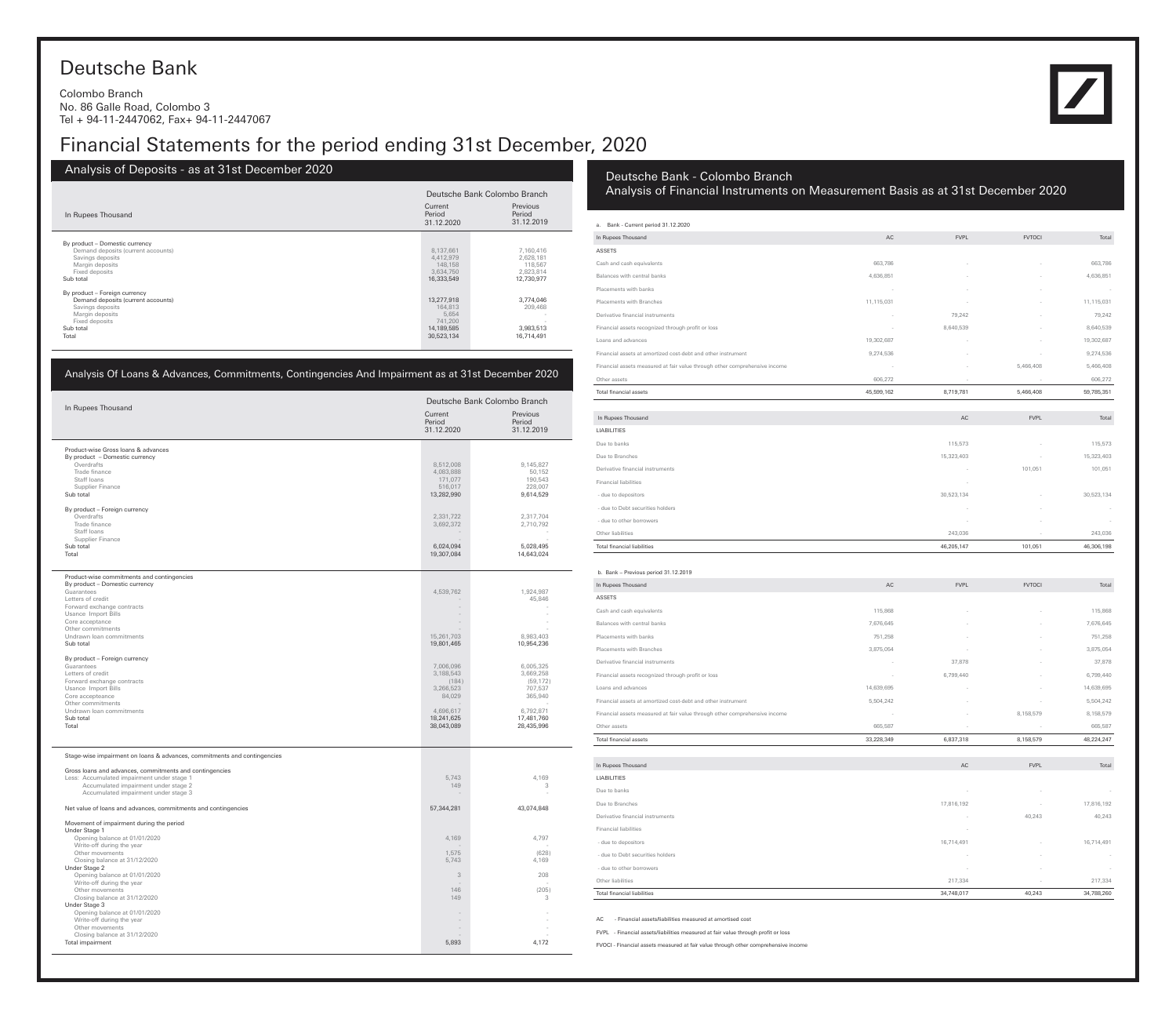# Deutsche Bank

Colombo Branch No. 86 Galle Road, Colombo 3 Tel + 94-11-2447062, Fax+ 94-11-2447067

# Financial Statements for the period ending 31st December, 2020

Analysis of Deposits - as at 31st December 2020 In Rupees Thousand Current Period 31.12.2020 Previous Period 31.12.2019 Deutsche Bank Colombo Branch By product – Domestic currency Sub total 12,730,977 12,730,977 12,730,977 12,730,977 12,730,977 12,730,977 12,730,977 12,730,977 12,730,977 12,730,977 By product – Foreign currency<br>
Demand deposits (current accounts) 13,277,918 3,774,046<br>
Savings deposits 5,654 164,813 209,468<br>
Margin deposits 5,654 5,654 741,200 Sub total 14,189,585 3,983,513 Total 30,523,134 16,714,491 Demand deposits (current accounts) 8,137,661 7,160,416<br>
Savings deposits 3,634,750 2,628,181<br>
Margin deposits 3,634,750 2,623,814<br>
Fixed deposits 2,823,814

| Analysis Of Loans & Advances, Commitments, Contingencies And Impairment as at 31st December 2020 |                                 |                                  |
|--------------------------------------------------------------------------------------------------|---------------------------------|----------------------------------|
| In Rupees Thousand                                                                               |                                 | Deutsche Bank Colombo Branch     |
|                                                                                                  | Current<br>Period<br>31.12.2020 | Previous<br>Period<br>31.12.2019 |
| Product-wise Gross loans & advances                                                              |                                 |                                  |
| By product - Domestic currency<br>Overdrafts                                                     | 8,512,008                       | 9,145,827                        |
| Trade finance                                                                                    | 4,083,888                       | 50,152                           |
| Staff loans<br>Supplier Finance                                                                  | 171,077<br>516,017              | 190,543<br>228,007               |
| Sub total                                                                                        | 13,282,990                      | 9,614,529                        |
| By product - Foreign currency                                                                    |                                 |                                  |
| Overdrafts                                                                                       | 2,331,722                       | 2,317,704                        |
| Trade finance<br>Staff loans                                                                     | 3,692,372                       | 2,710,792                        |
| Supplier Finance                                                                                 |                                 |                                  |
| Sub total<br>Total                                                                               | 6,024,094<br>19,307,084         | 5,028,495<br>14,643,024          |
|                                                                                                  |                                 |                                  |
| Product-wise commitments and contingencies                                                       |                                 |                                  |
| By product - Domestic currency<br>Guarantees                                                     | 4,539,762                       | 1,924,987                        |
| Letters of credit                                                                                |                                 | 45,846                           |
| Forward exchange contracts                                                                       | $\sim$                          |                                  |
| Usance Import Bills<br>Core acceptance                                                           |                                 |                                  |
| Other commitments<br>Undrawn Ioan commitments                                                    | 15,261,703                      | 8,983,403                        |
| Sub total                                                                                        | 19,801,465                      | 10,954,236                       |
| By product - Foreign currency                                                                    |                                 |                                  |
| Guarantees                                                                                       | 7,006,096                       | 6,005,325                        |
| Letters of credit                                                                                | 3,188,543                       | 3,669,258<br>(59, 172)           |
| Forward exchange contracts<br>Usance Import Bills                                                | (184)<br>3,266,523              | 707,537                          |
| Core accepteance<br>Other commitments                                                            | 84.029                          | 365,940                          |
| Undrawn Ioan commitments                                                                         | 4,696,617                       | 6,792,871                        |
| Sub total                                                                                        | 18,241,625                      | 17,481,760                       |
| Total                                                                                            | 38,043,089                      | 28,435,996                       |
|                                                                                                  |                                 |                                  |
| Stage-wise impairment on loans & advances, commitments and contingencies                         |                                 |                                  |
| Gross loans and advances, commitments and contingencies                                          |                                 |                                  |
| Less: Accumulated impairment under stage 1<br>Accumulated impairment under stage 2               | 5,743<br>149                    | 4,169<br>3                       |
| Accumulated impairment under stage 3                                                             |                                 |                                  |
| Net value of loans and advances, commitments and contingencies                                   | 57,344,281                      | 43,074,848                       |
| Movement of impairment during the period                                                         |                                 |                                  |
| Under Stage 1<br>Opening balance at 01/01/2020                                                   | 4,169                           | 4,797                            |
| Write-off during the year                                                                        |                                 |                                  |
| Other movements<br>Closing balance at 31/12/2020                                                 | 1,575<br>5.743                  | (628)<br>4,169                   |
| Under Stage 2                                                                                    |                                 |                                  |
| Opening balance at 01/01/2020<br>Write-off during the year                                       | $\sqrt{3}$                      | 208                              |
| Other movements                                                                                  | 146                             | (205)                            |
| Closing balance at 31/12/2020<br>Under Stage 3                                                   | 149                             | 3                                |
| Opening balance at 01/01/2020                                                                    |                                 |                                  |
| Write-off during the year<br>Other movements                                                     |                                 |                                  |
| Closing balance at 31/12/2020                                                                    |                                 |                                  |
| Total impairment                                                                                 | 5,893                           | 4,172                            |

## Deutsche Bank - Colombo Branch

Analysis of Financial Instruments on Measurement Basis as at 31st December 2020

| a. Bank - Current period 31.12.2020                                        |            |                          |               |                          |
|----------------------------------------------------------------------------|------------|--------------------------|---------------|--------------------------|
| In Rupees Thousand                                                         | AC         | <b>FVPL</b>              | <b>FVTOCI</b> | Total                    |
| ASSETS                                                                     |            |                          |               |                          |
| Cash and cash equivalents                                                  | 663,786    |                          |               | 663,786                  |
| Balances with central banks                                                | 4,636,851  |                          |               | 4,636,851                |
| Placements with banks                                                      |            |                          |               |                          |
| Placements with Branches                                                   | 11,115,031 |                          |               | 11,115,031               |
| Derivative financial instruments                                           |            | 79,242                   |               | 79,242                   |
| Financial assets recognized through profit or loss                         |            | 8,640,539                |               | 8,640,539                |
| Loans and advances                                                         | 19,302,687 |                          |               | 19,302,687               |
| Financial assets at amortized cost-debt and other instrument               | 9,274,536  |                          |               | 9,274,536                |
| Financial assets measured at fair value through other comprehensive income |            |                          | 5,466,408     | 5,466,408                |
| Other assets                                                               | 606,272    | $\sim$                   | $\sim$        | 606,272                  |
| Total financial assets                                                     | 45,599,162 | 8,719,781                | 5,466,408     | 59,785,351               |
|                                                                            |            |                          |               |                          |
| In Rupees Thousand                                                         |            | $\mathsf{AC}$            | <b>FVPL</b>   | Total                    |
| LIABILITIES                                                                |            |                          |               |                          |
| Due to banks                                                               |            | 115,573                  |               | 115,573                  |
| Due to Branches                                                            |            | 15,323,403               |               | 15,323,403               |
| Derivative financial instruments                                           |            |                          | 101,051       | 101,051                  |
| <b>Financial liabilities</b>                                               |            |                          |               |                          |
| - due to depositors                                                        |            | 30,523,134               |               | 30,523,134               |
| - due to Debt securities holders                                           |            |                          |               |                          |
| - due to other borrowers                                                   |            |                          |               |                          |
| Other liabilities                                                          |            | 243,036                  |               | 243,036                  |
| <b>Total financial liabilities</b>                                         |            | 46,205,147               | 101,051       | 46,306,198               |
|                                                                            |            |                          |               |                          |
| b. Bank - Previous period 31.12.2019<br>In Rupees Thousand                 | AC         | <b>FVPL</b>              | <b>FVTOCI</b> | Total                    |
| ASSETS                                                                     |            |                          |               |                          |
|                                                                            | 115,868    |                          |               | 115,868                  |
| Cash and cash equivalents                                                  |            |                          |               |                          |
| Balances with central banks<br>Placements with banks                       | 7,676,645  |                          |               | 7,676,645                |
|                                                                            | 751,258    |                          |               | 751,258                  |
| Placements with Branches                                                   | 3,875,054  |                          |               | 3,875,054                |
| Derivative financial instruments                                           |            | 37,878                   |               | 37,878                   |
| Financial assets recognized through profit or loss                         |            | 6,799,440                |               | 6,799,440                |
| Loans and advances                                                         | 14,639,695 |                          |               | 14,639,695               |
| Financial assets at amortized cost-debt and other instrument               | 5,504,242  |                          |               | 5,504,242                |
| Financial assets measured at fair value through other comprehensive income |            |                          | 8,158,579     | 8,158,579                |
| Other assets                                                               | 665,587    |                          |               | 665,587                  |
| <b>Total financial assets</b>                                              | 33,228,349 | 6,837,318                | 8,158,579     | 48.224.247               |
| In Rupees Thousand                                                         |            | $\mathsf{AC}$            | <b>FVPL</b>   | Total                    |
| LIABILITIES                                                                |            |                          |               |                          |
| Due to banks                                                               |            | $\sim$                   |               |                          |
| Due to Branches                                                            |            | 17,816,192               |               | 17,816,192               |
| Derivative financial instruments                                           |            | $\overline{\phantom{a}}$ | 40,243        | 40,243                   |
| Financial liabilities                                                      |            | ÷.                       |               |                          |
| - due to depositors                                                        |            | 16,714,491               |               | 16,714,491               |
| - due to Debt securities holders                                           |            | $\sim$                   |               | $\overline{\phantom{a}}$ |
| - due to other borrowers                                                   |            | $\sim$                   |               | $\sim$                   |
| Other liabilities                                                          |            | 217,334                  |               | 217,334                  |
| <b>Total financial liabilities</b>                                         |            | 34,748,017               | 40,243        | 34,788,260               |

AC - Financial assets/liabilities measured at amortised cost

FVPL - Financial assets/liabilities measured at fair value through profit or loss

FVOCI - Financial assets measured at fair value through other comprehensive income